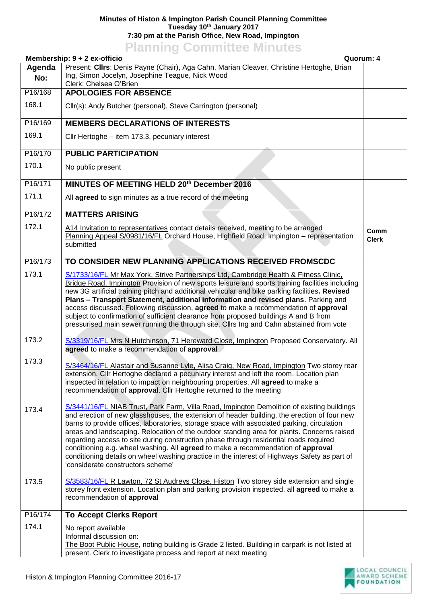## **Minutes of Histon & Impington Parish Council Planning Committee Tuesday 10th January 2017 7:30 pm at the Parish Office, New Road, Impington**

## **Planning Committee Minutes**

|               | Membership: 9 + 2 ex-officio<br>Quorum: 4                                                                                                                                                                                                                                                                                                                                                                                                                                                                                                                                                                                                                                                               |                      |
|---------------|---------------------------------------------------------------------------------------------------------------------------------------------------------------------------------------------------------------------------------------------------------------------------------------------------------------------------------------------------------------------------------------------------------------------------------------------------------------------------------------------------------------------------------------------------------------------------------------------------------------------------------------------------------------------------------------------------------|----------------------|
| Agenda<br>No: | Present: Cllrs: Denis Payne (Chair), Aga Cahn, Marian Cleaver, Christine Hertoghe, Brian<br>Ing, Simon Jocelyn, Josephine Teague, Nick Wood<br>Clerk: Chelsea O'Brien                                                                                                                                                                                                                                                                                                                                                                                                                                                                                                                                   |                      |
| P16/168       | <b>APOLOGIES FOR ABSENCE</b>                                                                                                                                                                                                                                                                                                                                                                                                                                                                                                                                                                                                                                                                            |                      |
| 168.1         | Cllr(s): Andy Butcher (personal), Steve Carrington (personal)                                                                                                                                                                                                                                                                                                                                                                                                                                                                                                                                                                                                                                           |                      |
| P16/169       | <b>MEMBERS DECLARATIONS OF INTERESTS</b>                                                                                                                                                                                                                                                                                                                                                                                                                                                                                                                                                                                                                                                                |                      |
| 169.1         | Cllr Hertoghe - item 173.3, pecuniary interest                                                                                                                                                                                                                                                                                                                                                                                                                                                                                                                                                                                                                                                          |                      |
| P16/170       | <b>PUBLIC PARTICIPATION</b>                                                                                                                                                                                                                                                                                                                                                                                                                                                                                                                                                                                                                                                                             |                      |
| 170.1         | No public present                                                                                                                                                                                                                                                                                                                                                                                                                                                                                                                                                                                                                                                                                       |                      |
| P16/171       | MINUTES OF MEETING HELD 20th December 2016                                                                                                                                                                                                                                                                                                                                                                                                                                                                                                                                                                                                                                                              |                      |
| 171.1         | All agreed to sign minutes as a true record of the meeting                                                                                                                                                                                                                                                                                                                                                                                                                                                                                                                                                                                                                                              |                      |
| P16/172       | <b>MATTERS ARISING</b>                                                                                                                                                                                                                                                                                                                                                                                                                                                                                                                                                                                                                                                                                  |                      |
| 172.1         | A14 Invitation to representatives contact details received, meeting to be arranged<br>Planning Appeal S/0981/16/FL Orchard House, Highfield Road, Impington - representation<br>submitted                                                                                                                                                                                                                                                                                                                                                                                                                                                                                                               | Comm<br><b>Clerk</b> |
| P16/173       | TO CONSIDER NEW PLANNING APPLICATIONS RECEIVED FROMSCDC                                                                                                                                                                                                                                                                                                                                                                                                                                                                                                                                                                                                                                                 |                      |
| 173.1         | S/1733/16/FL Mr Max York, Strive Partnerships Ltd, Cambridge Health & Fitness Clinic,<br>Bridge Road, Impington Provision of new sports leisure and sports training facilities including<br>new 3G artificial training pitch and additional vehicular and bike parking facilities. Revised<br>Plans - Transport Statement, additional information and revised plans. Parking and<br>access discussed. Following discussion, agreed to make a recommendation of approval<br>subject to confirmation of sufficient clearance from proposed buildings A and B from<br>pressurised main sewer running the through site. Cllrs Ing and Cahn abstained from vote                                              |                      |
| 173.2         | S/3319/16/FL Mrs N Hutchinson, 71 Hereward Close, Impington Proposed Conservatory. All<br>agreed to make a recommendation of approval                                                                                                                                                                                                                                                                                                                                                                                                                                                                                                                                                                   |                      |
| 173.3         | S/3464/16/FL Alastair and Susanne Lyle, Alisa Craig, New Road, Impington Two storey rear<br>extension. Cllr Hertoghe declared a pecuniary interest and left the room. Location plan<br>inspected in relation to impact on neighbouring properties. All agreed to make a<br>recommendation of approval. Cllr Hertoghe returned to the meeting                                                                                                                                                                                                                                                                                                                                                            |                      |
| 173.4         | S/3441/16/FL NIAB Trust, Park Farm, Villa Road, Impington Demolition of existing buildings<br>and erection of new glasshouses, the extension of header building, the erection of four new<br>barns to provide offices, laboratories, storage space with associated parking, circulation<br>areas and landscaping. Relocation of the outdoor standing area for plants. Concerns raised<br>regarding access to site during construction phase through residential roads required<br>conditioning e.g. wheel washing. All agreed to make a recommendation of approval<br>conditioning details on wheel washing practice in the interest of Highways Safety as part of<br>'considerate constructors scheme' |                      |
| 173.5         | S/3583/16/FL R Lawton, 72 St Audreys Close, Histon Two storey side extension and single<br>storey front extension. Location plan and parking provision inspected, all agreed to make a<br>recommendation of approval                                                                                                                                                                                                                                                                                                                                                                                                                                                                                    |                      |
| P16/174       | <b>To Accept Clerks Report</b>                                                                                                                                                                                                                                                                                                                                                                                                                                                                                                                                                                                                                                                                          |                      |
| 174.1         | No report available<br>Informal discussion on:<br>The Boot Public House, noting building is Grade 2 listed. Building in carpark is not listed at<br>present. Clerk to investigate process and report at next meeting                                                                                                                                                                                                                                                                                                                                                                                                                                                                                    |                      |